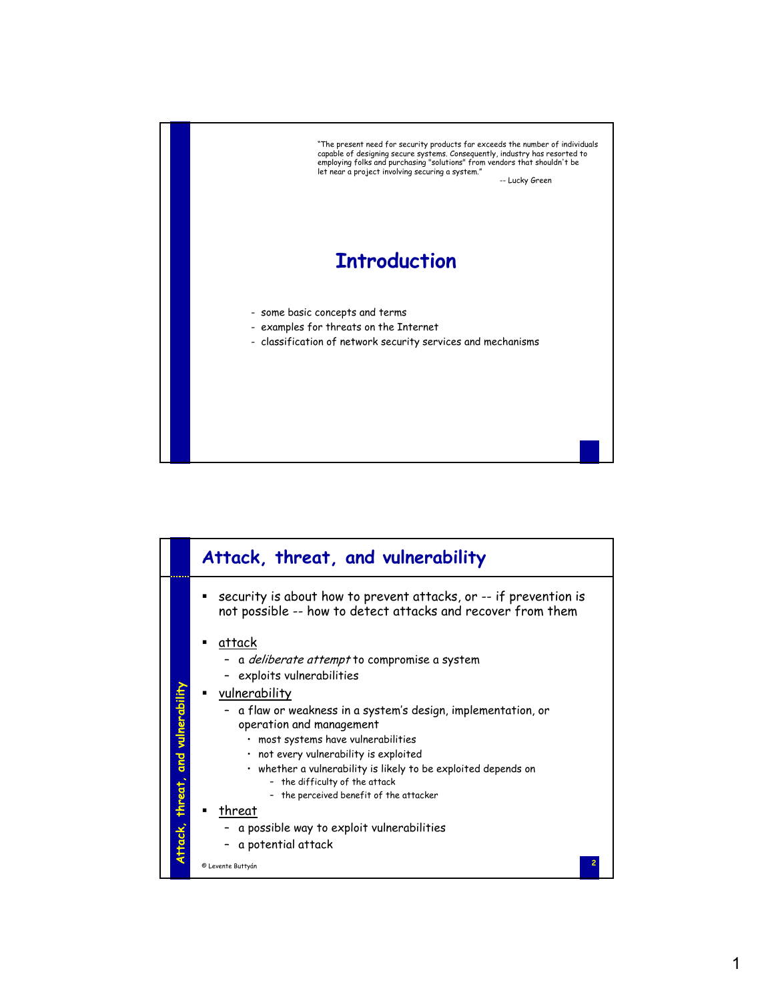

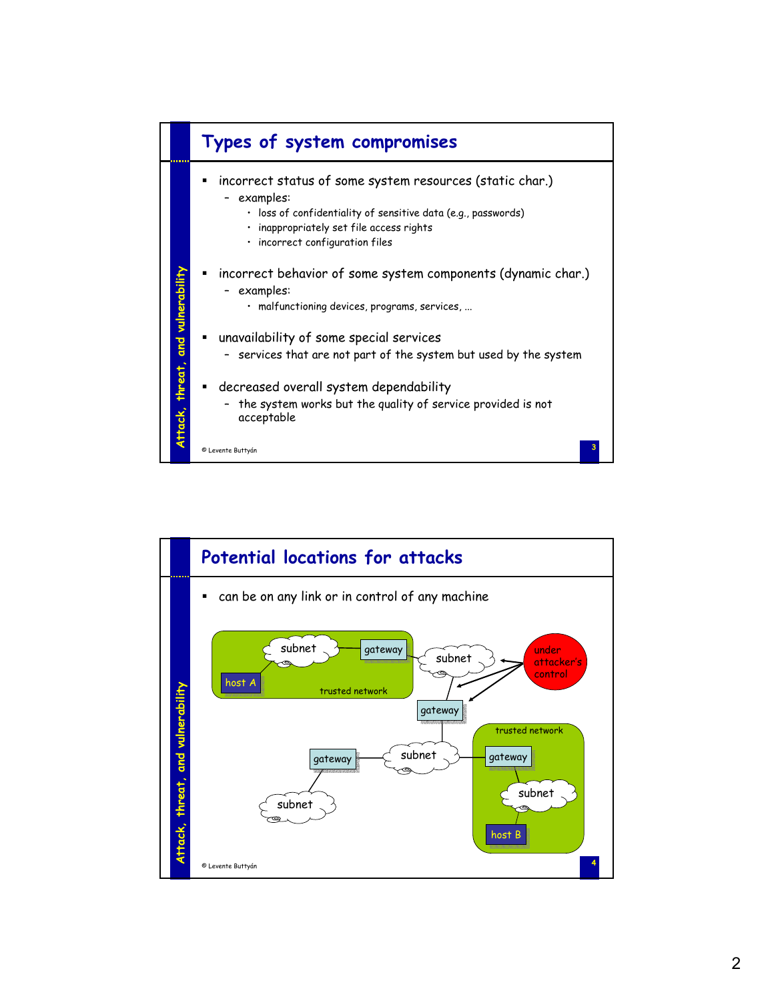

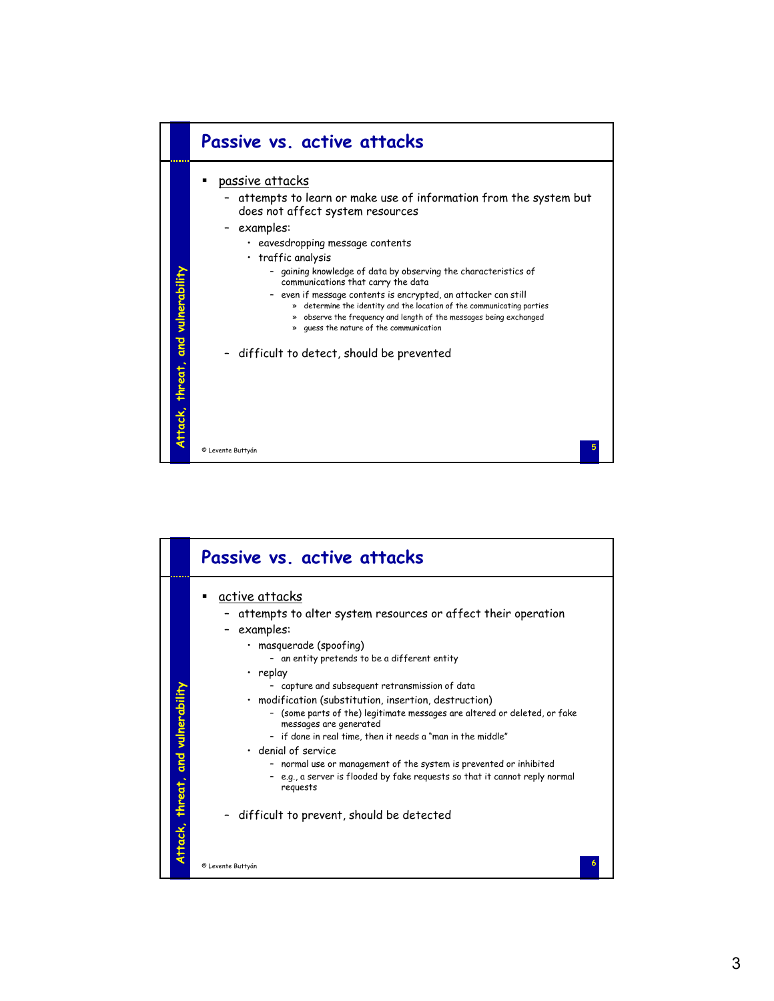

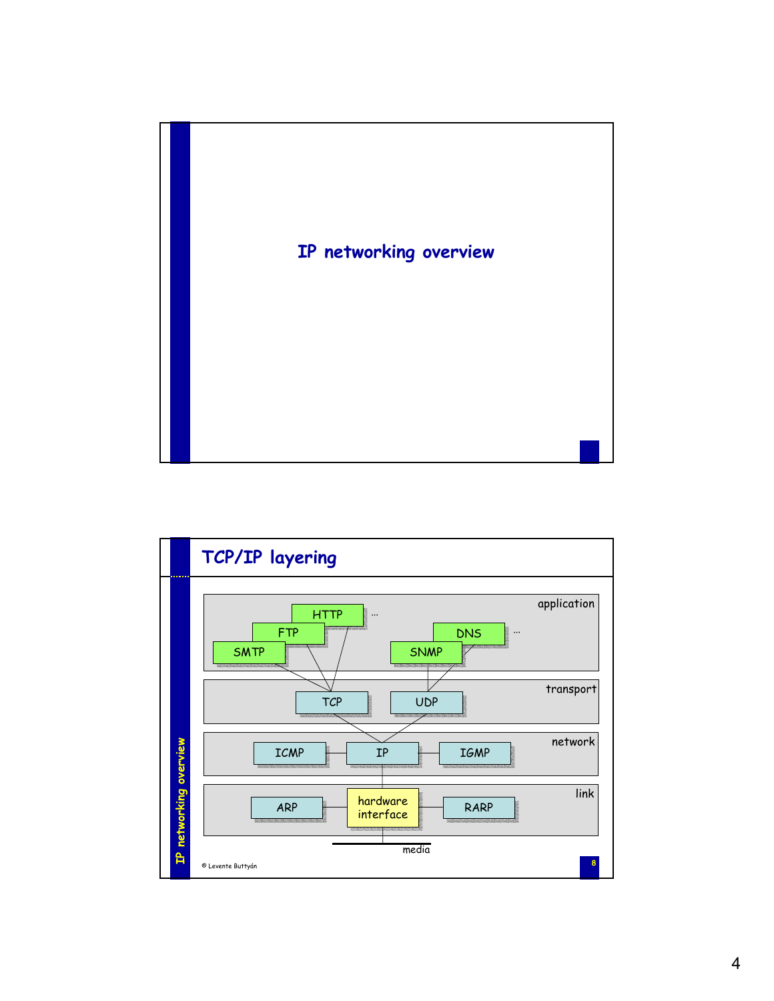

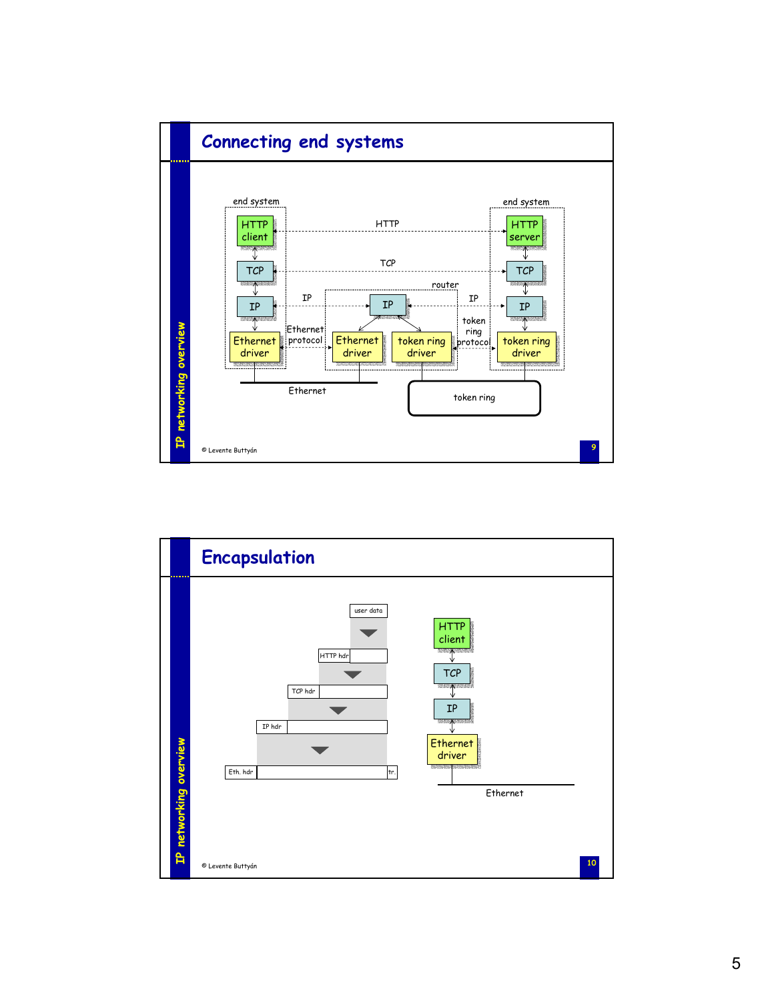

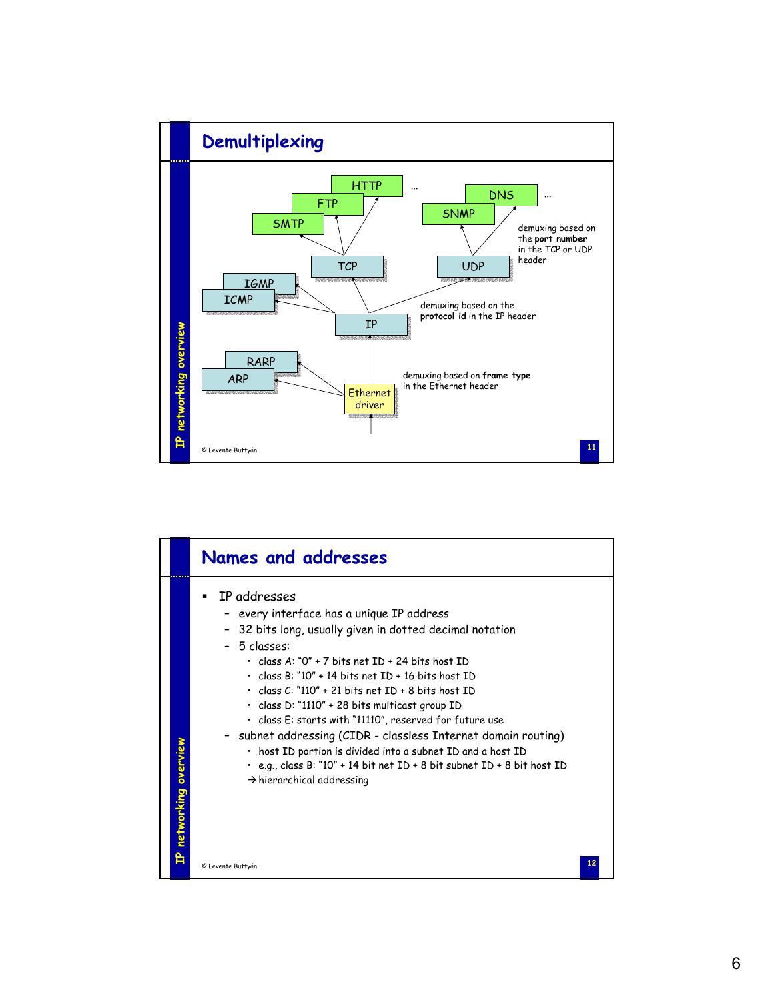

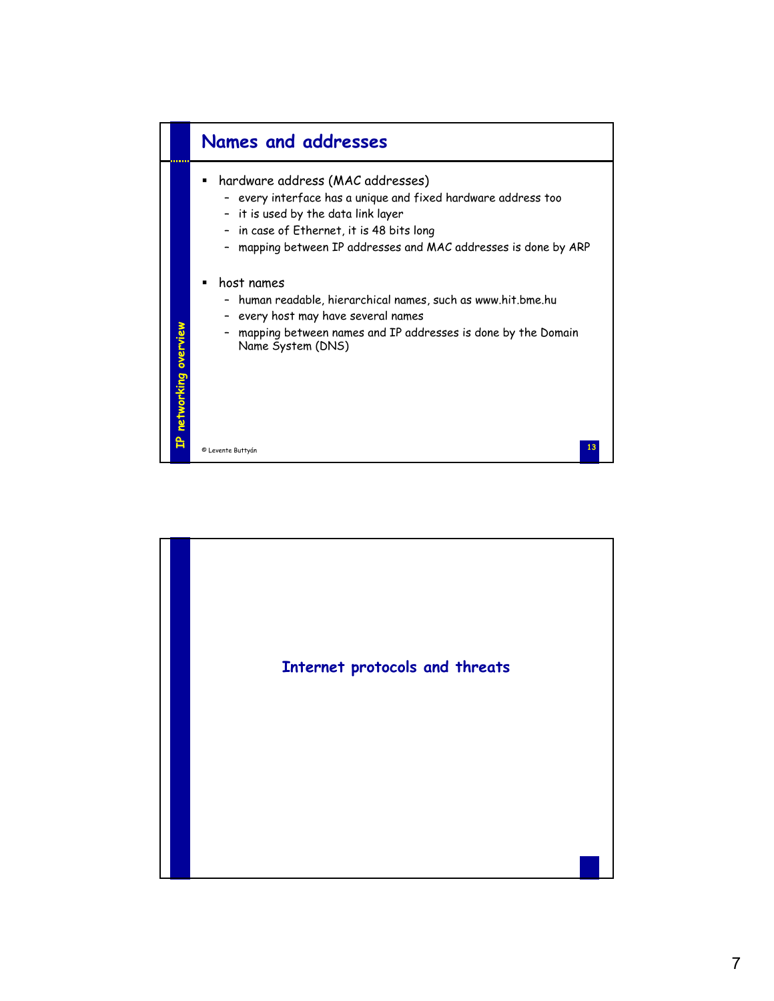

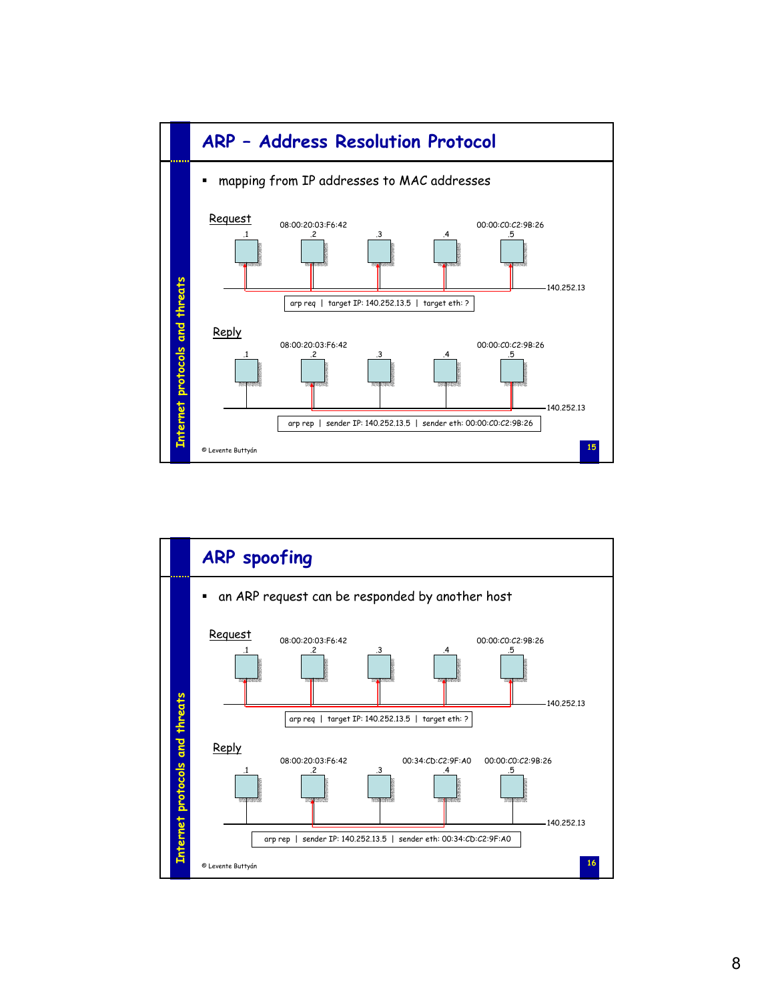

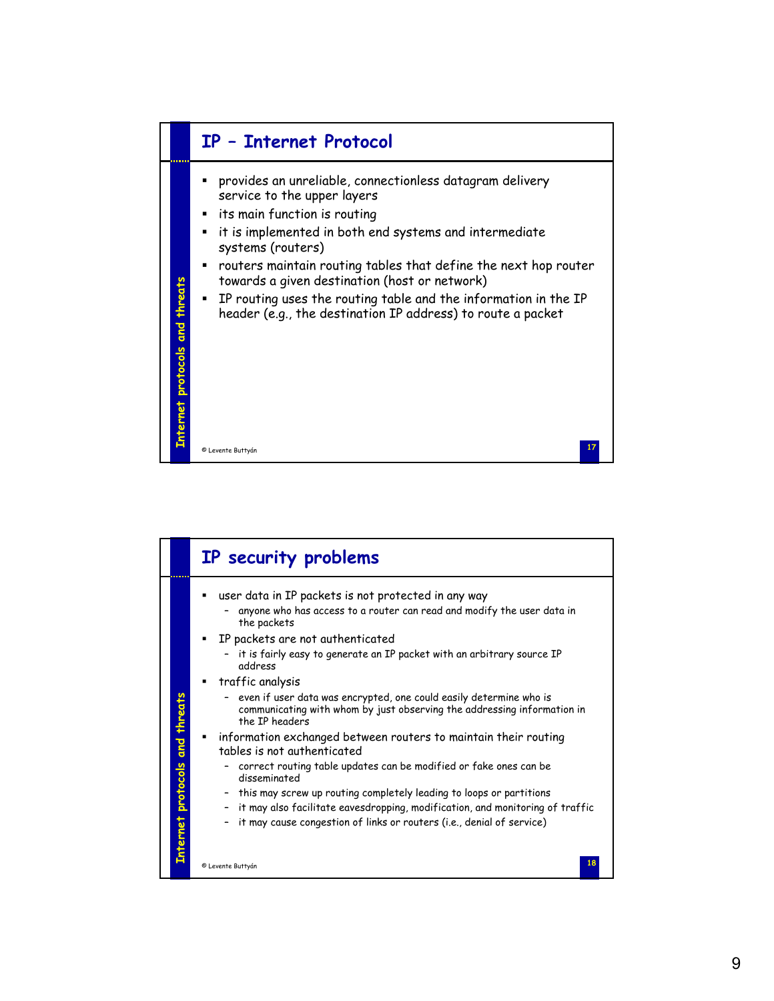

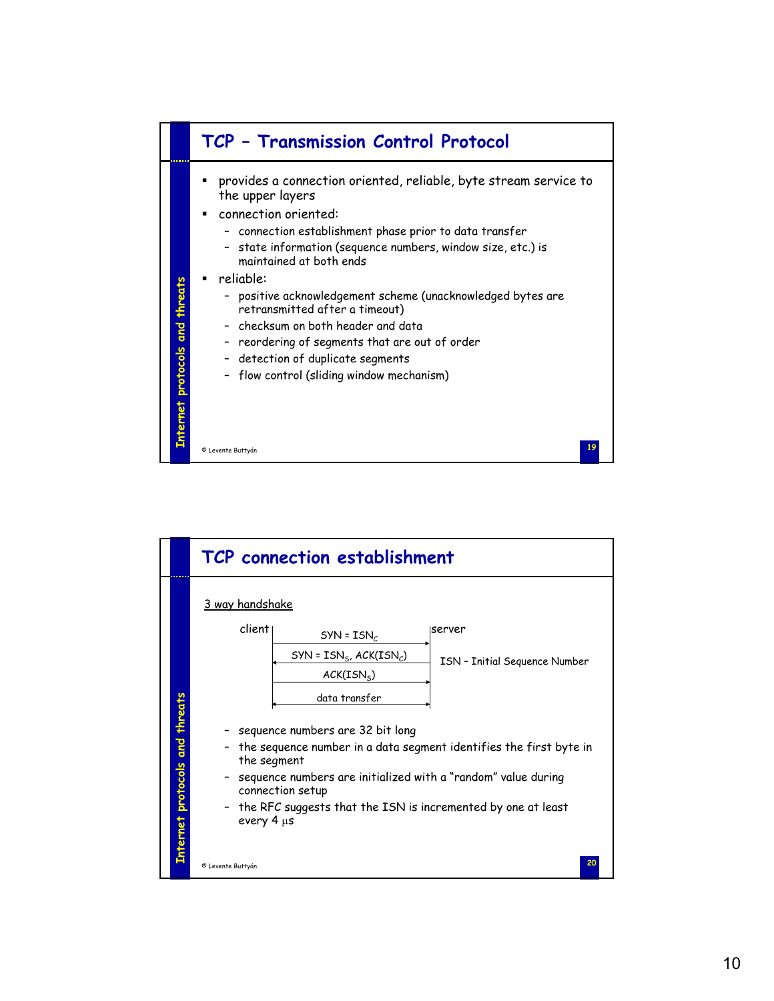

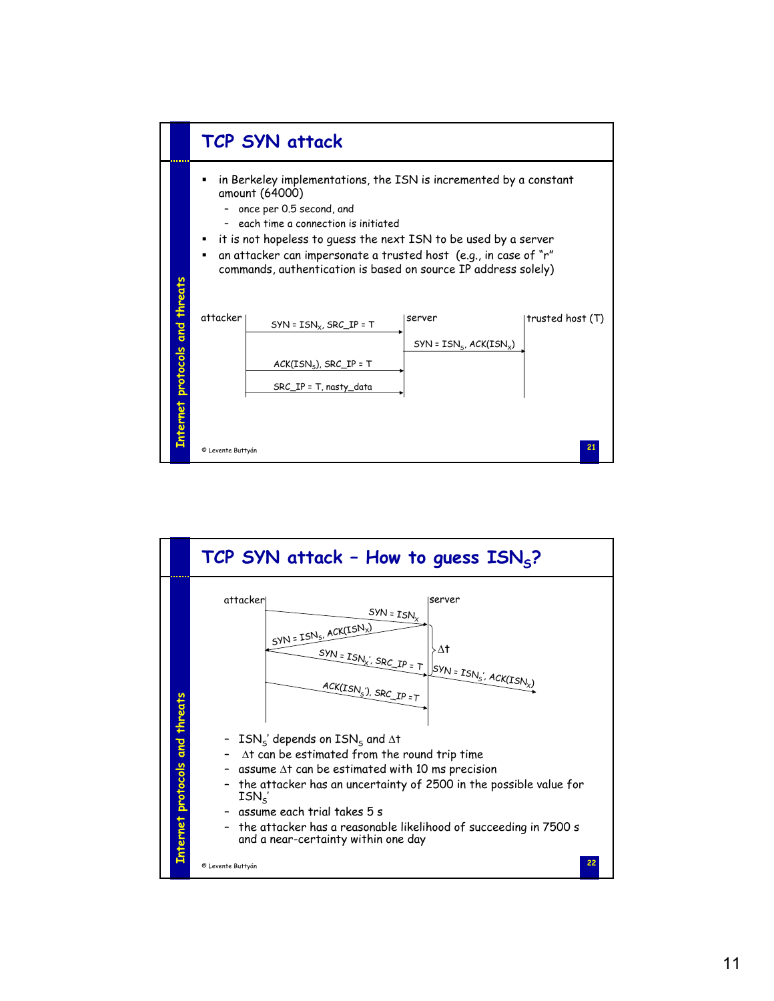

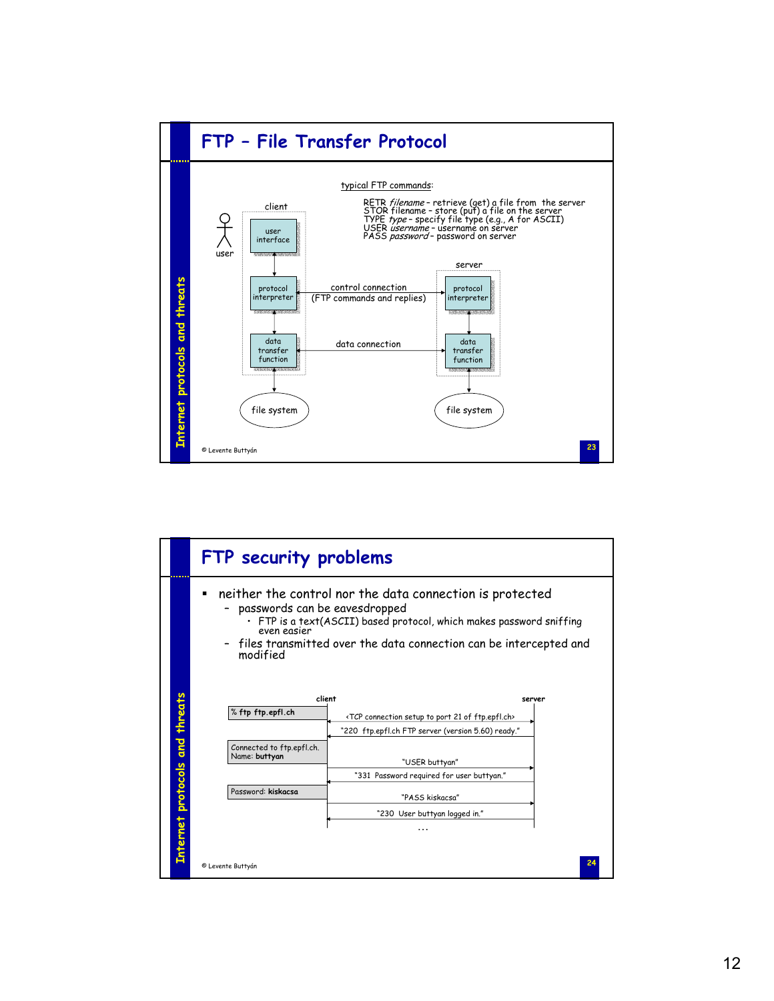

|                                | FTP security problems                                                                                                                                                                                                                                                   |
|--------------------------------|-------------------------------------------------------------------------------------------------------------------------------------------------------------------------------------------------------------------------------------------------------------------------|
|                                | neither the control nor the data connection is protected<br>passwords can be eavesdropped<br>$\cdot$ FTP is a text(ASCII) based protocol, which makes password sniffing<br>even easier<br>files transmitted over the data connection can be intercepted and<br>modified |
| Internet protocols and threats | client<br>server<br>% ftp ftp.epfl.ch<br><tcp 21="" connection="" ftp.epfl.ch="" of="" port="" setup="" to=""><br/>"220 ftp.epfl.ch FTP server (version 5.60) ready."</tcp>                                                                                             |
|                                | Connected to ftp.epfl.ch.<br>Name: buttyan<br>"USER buttyan"<br>"331 Password required for user buttyan."                                                                                                                                                               |
|                                | Password: kiskacsa<br>"PASS kiskacsa"                                                                                                                                                                                                                                   |
|                                | "230 User buttyan logged in."                                                                                                                                                                                                                                           |
|                                | .                                                                                                                                                                                                                                                                       |
|                                | © Levente Buttyán                                                                                                                                                                                                                                                       |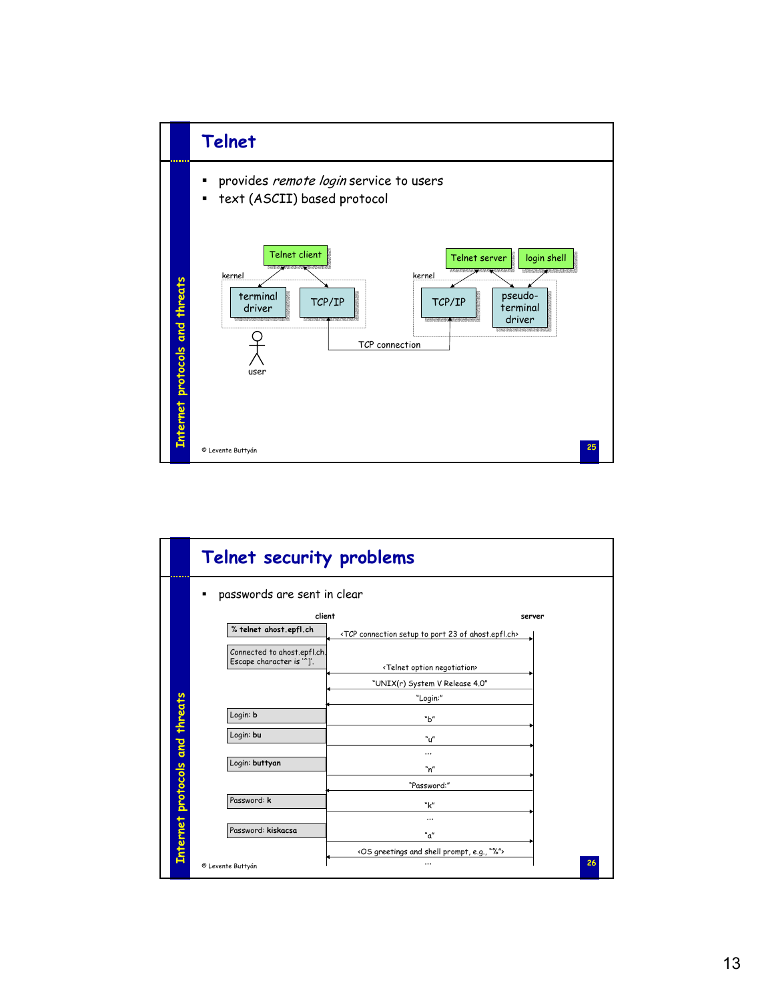

|                                | Telnet security problems                                |                                                                                         |
|--------------------------------|---------------------------------------------------------|-----------------------------------------------------------------------------------------|
|                                | passwords are sent in clear                             |                                                                                         |
|                                | client<br>% telnet ahost.epfl.ch                        | server<br><tcp 23="" ahost.epfl.ch="" connection="" of="" port="" setup="" to=""></tcp> |
|                                | Connected to ahost.epfl.ch.<br>Escape character is """. | <telnet negotiation="" option=""></telnet>                                              |
|                                |                                                         | "UNIX(r) System V Release 4.0"<br>"Login:"                                              |
|                                | Login: b                                                | "b"                                                                                     |
|                                | Login: bu                                               | "⊔"                                                                                     |
| Internet protocols and threats | Login: buttyan                                          | <br>"n"                                                                                 |
|                                |                                                         | "Password:"                                                                             |
|                                | Password: k                                             | "k"                                                                                     |
|                                | Password: kiskacsa                                      | <br>"a"                                                                                 |
|                                | © Levente Buttyán                                       | <os "%"="" and="" e.g.,="" greetings="" prompt,="" shell=""><br/>26<br/></os>           |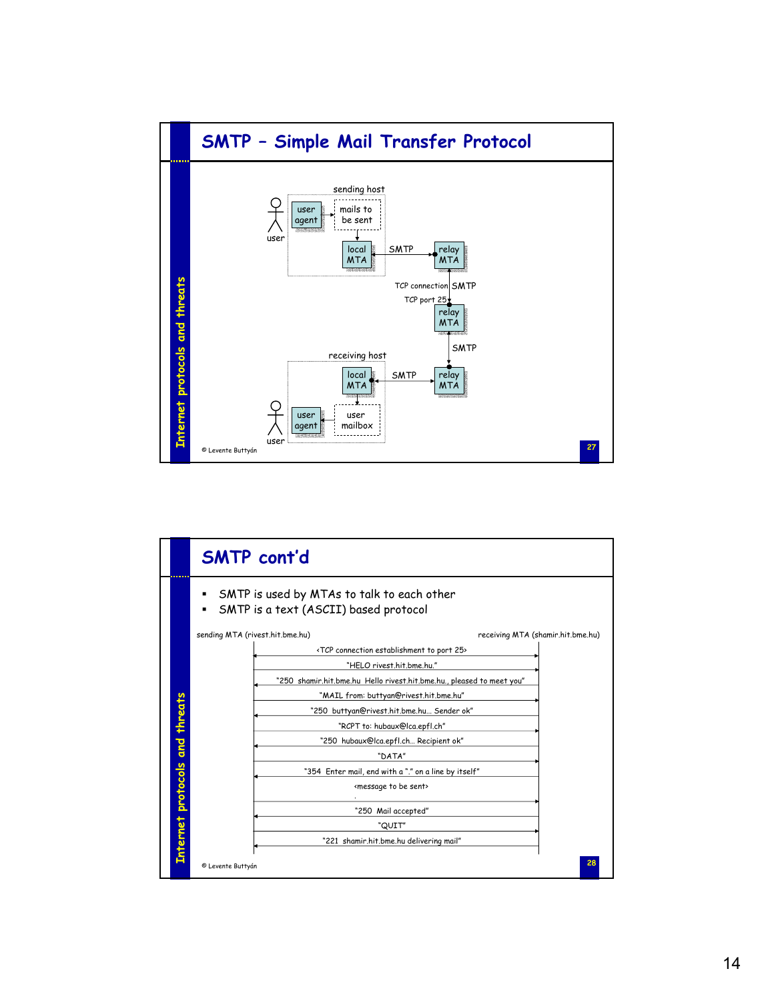

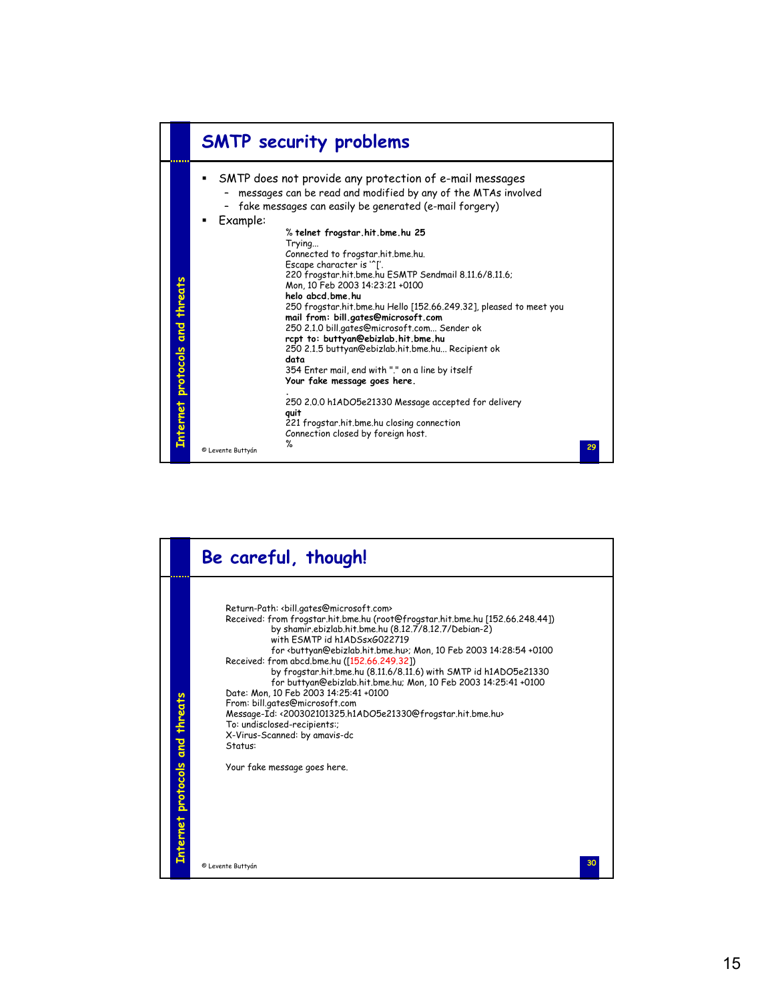

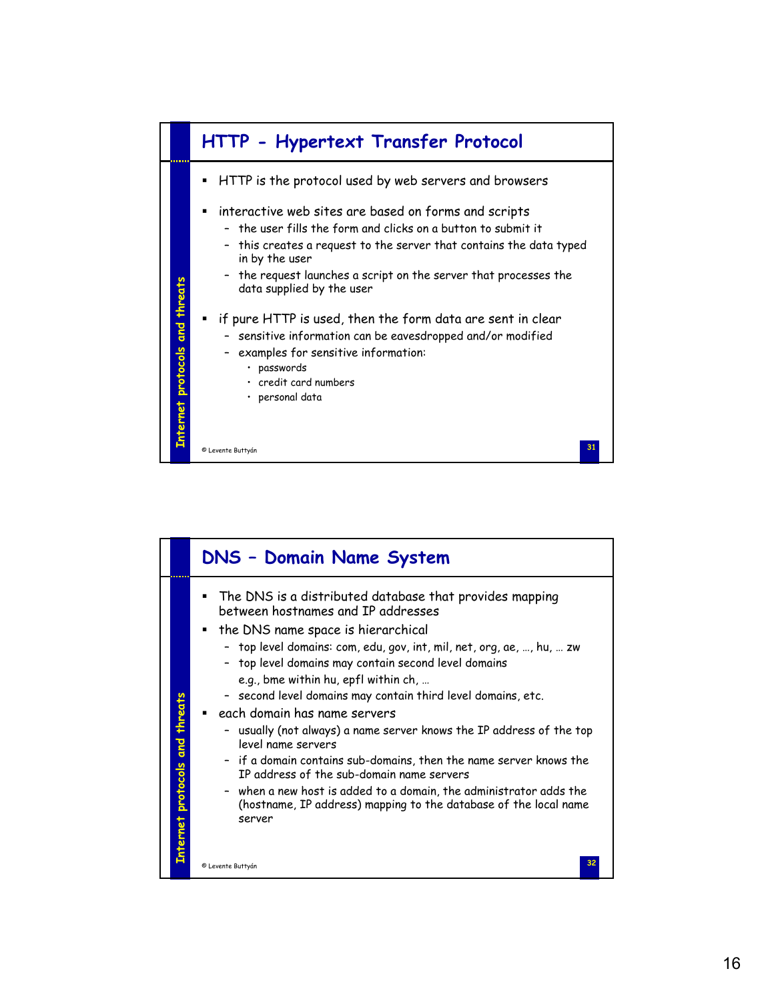

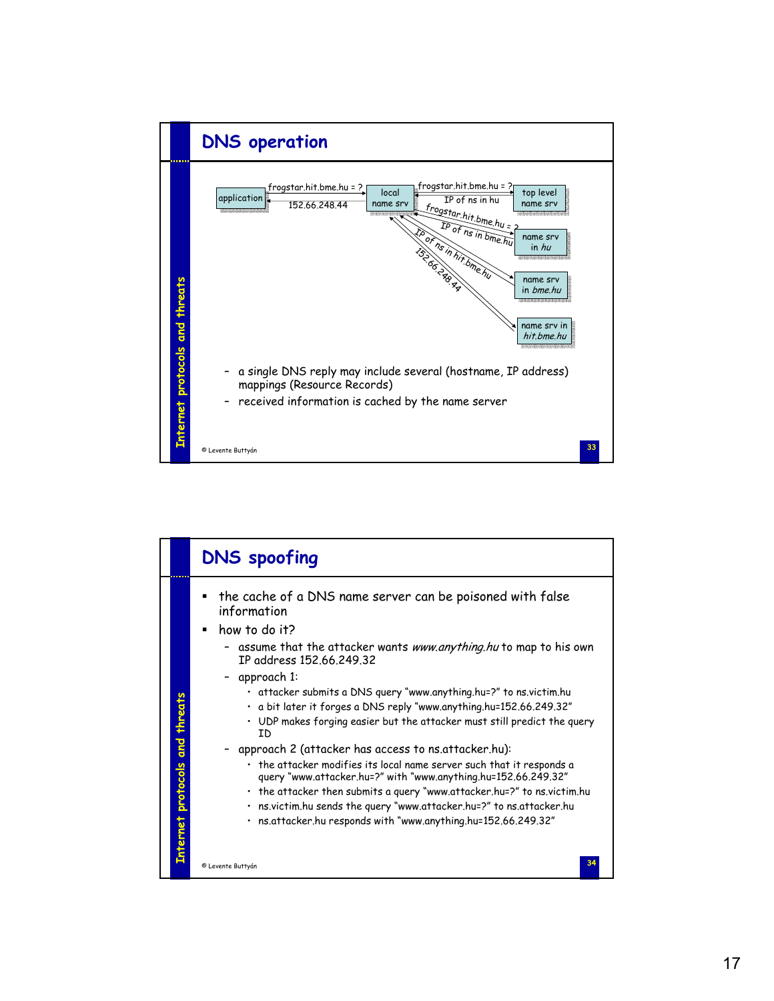

|                                | <b>DNS</b> spoofing                                                                                                                                                                                                                                                                                                                                                                                                                                                                                                                                                                                                                                                                                                                                                                                                                                                                                  |
|--------------------------------|------------------------------------------------------------------------------------------------------------------------------------------------------------------------------------------------------------------------------------------------------------------------------------------------------------------------------------------------------------------------------------------------------------------------------------------------------------------------------------------------------------------------------------------------------------------------------------------------------------------------------------------------------------------------------------------------------------------------------------------------------------------------------------------------------------------------------------------------------------------------------------------------------|
| Enternet protocols and threats | the cache of a DNS name server can be poisoned with false<br>information<br>how to do it?<br>- assume that the attacker wants <i>www.anything.hu</i> to map to his own<br>IP address 152.66.249.32<br>- approach 1:<br>• attacker submits a DNS query "www.anything.hu=?" to ns.victim.hu<br>• a bit later it forges a DNS reply "www.anything.hu=152.66.249.32"<br>• UDP makes forging easier but the attacker must still predict the query<br>ΙD<br>approach 2 (attacker has access to ns.attacker.hu):<br>$\cdot$ the attacker modifies its local name server such that it responds a<br>query "www.attacker.hu=?" with "www.anything.hu=152.66.249.32"<br>• the attacker then submits a query "www.attacker.hu=?" to ns.victim.hu<br>· ns.victim.hu sends the query "www.attacker.hu=?" to ns.attacker.hu<br>· ns.attacker.hu responds with "www.anything.hu=152.66.249.32"<br>© Levente Buttyán |
|                                |                                                                                                                                                                                                                                                                                                                                                                                                                                                                                                                                                                                                                                                                                                                                                                                                                                                                                                      |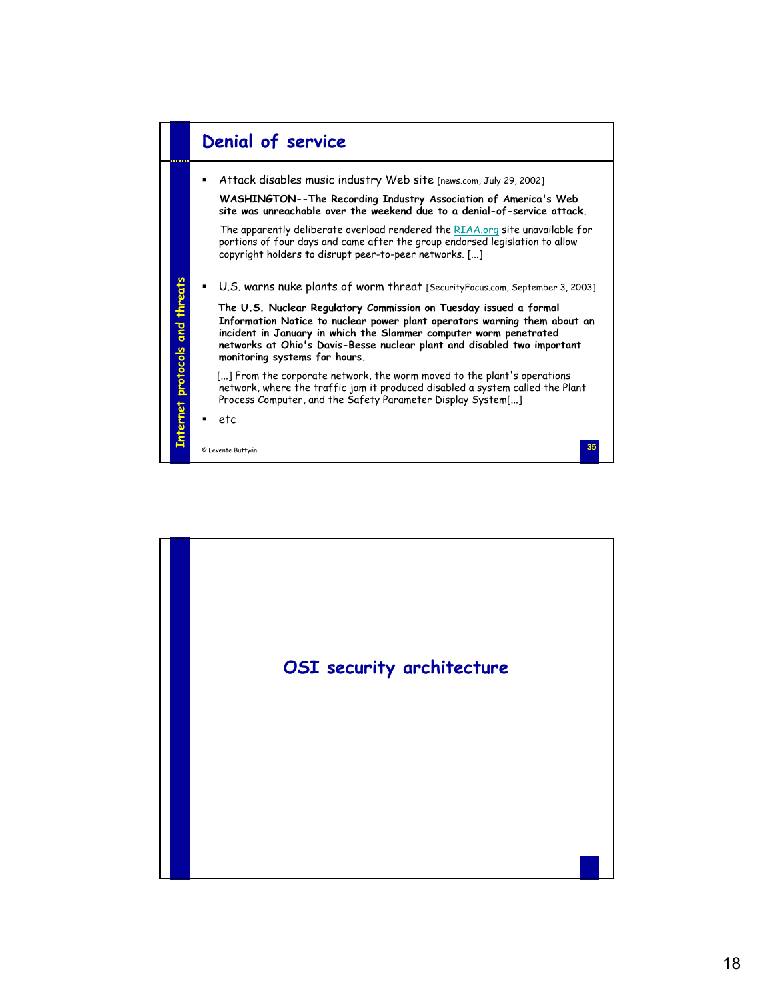

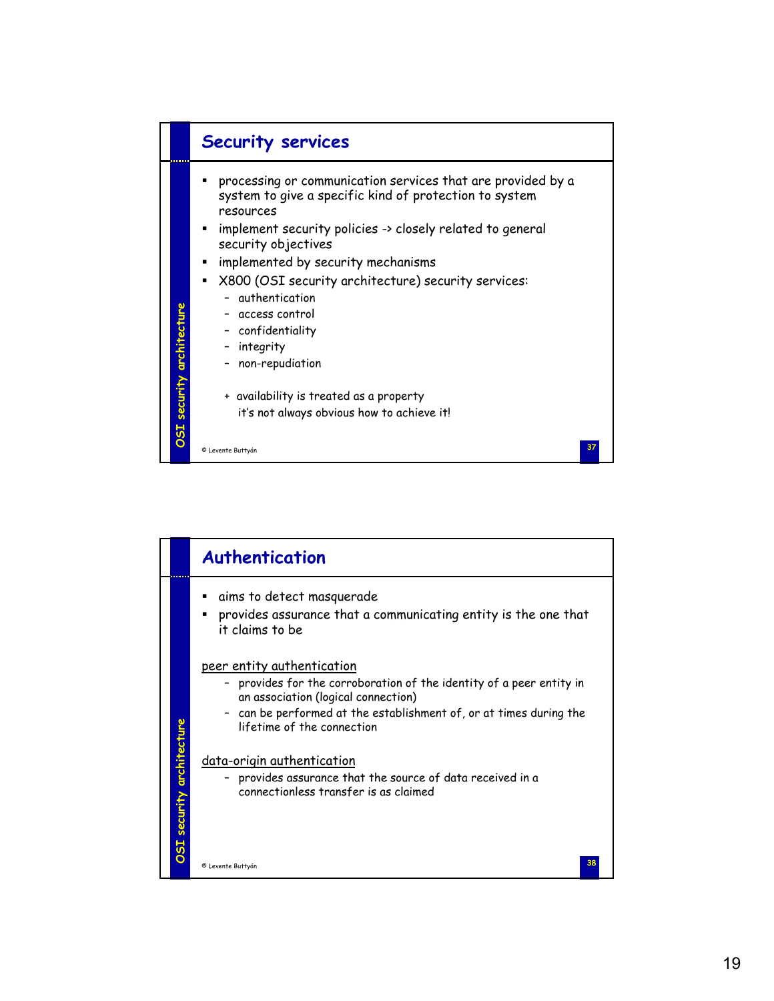

|                           | Authentication                                                                                                                                                                                                                              |
|---------------------------|---------------------------------------------------------------------------------------------------------------------------------------------------------------------------------------------------------------------------------------------|
|                           | aims to detect masquerade<br>provides assurance that a communicating entity is the one that<br>٠<br>it claims to be                                                                                                                         |
|                           | peer entity authentication<br>- provides for the corroboration of the identity of a peer entity in<br>an association (logical connection)<br>can be performed at the establishment of, or at times during the<br>lifetime of the connection |
| OSI security architecture | data-origin authentication<br>provides assurance that the source of data received in a<br>connectionless transfer is as claimed<br>38<br>© Levente Buttyán                                                                                  |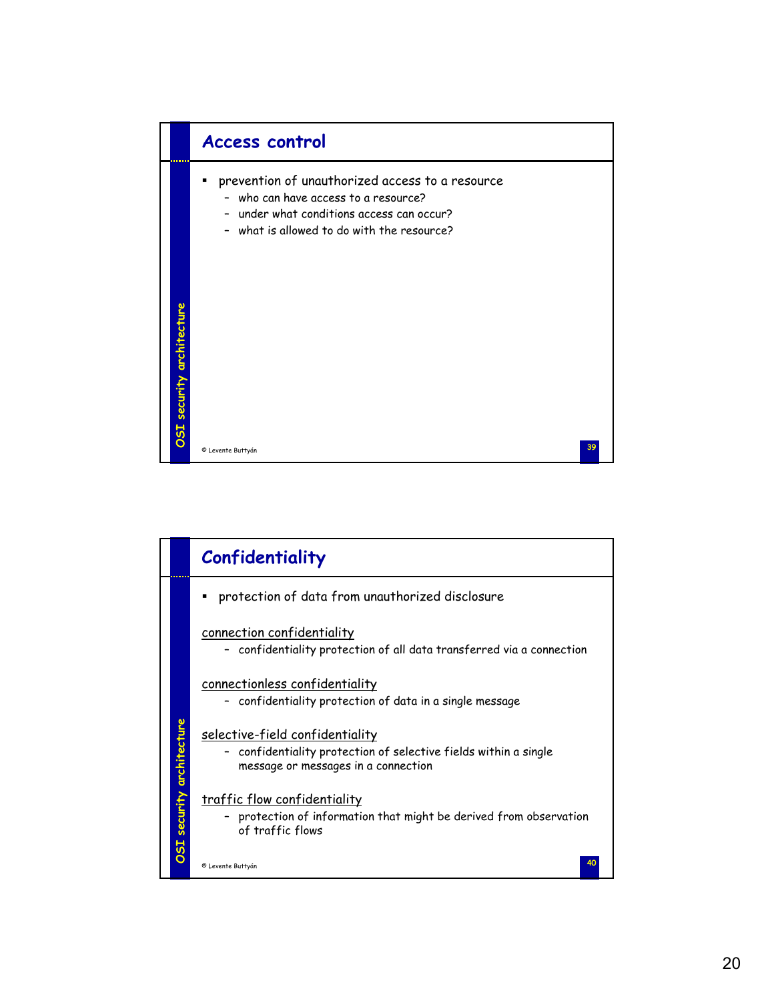

|                          | Confidentiality                                                                                                                                   |
|--------------------------|---------------------------------------------------------------------------------------------------------------------------------------------------|
|                          | protection of data from unauthorized disclosure                                                                                                   |
|                          | connection confidentiality<br>confidentiality protection of all data transferred via a connection                                                 |
|                          | connectionless confidentiality<br>confidentiality protection of data in a single message                                                          |
| SI security architecture | <u>selective-field confidentiality</u><br>- confidentiality protection of selective fields within a single<br>message or messages in a connection |
|                          | <u>traffic flow confidentiality</u><br>protection of information that might be derived from observation<br>of traffic flows                       |
| ◘                        | 40<br>© Levente Buttyán                                                                                                                           |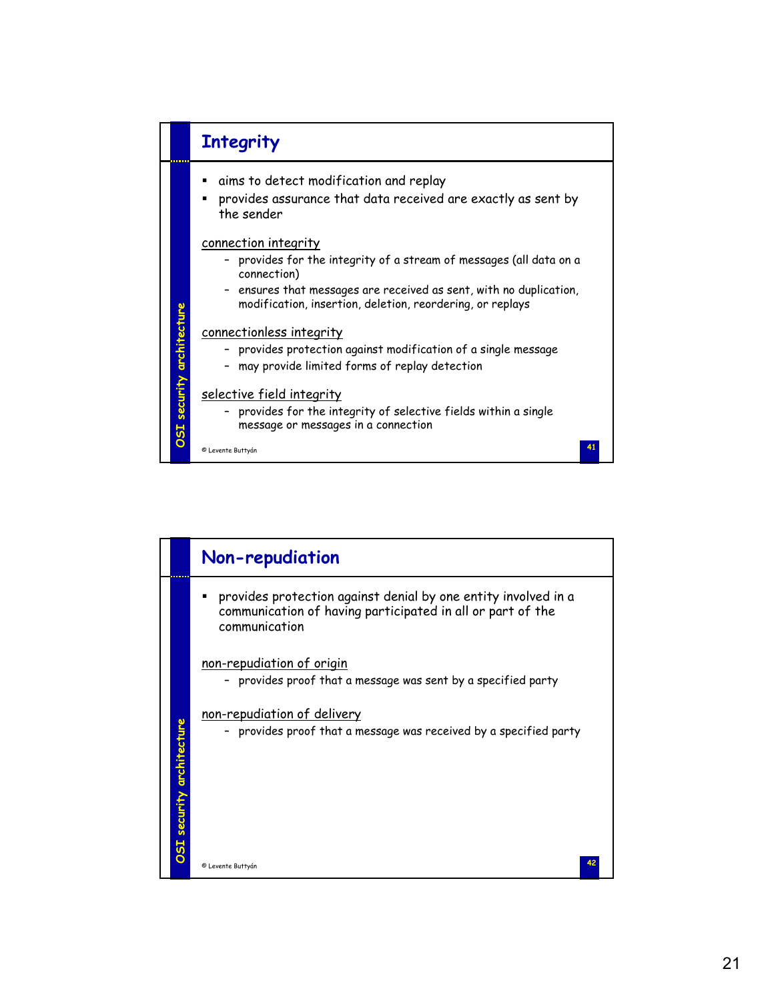

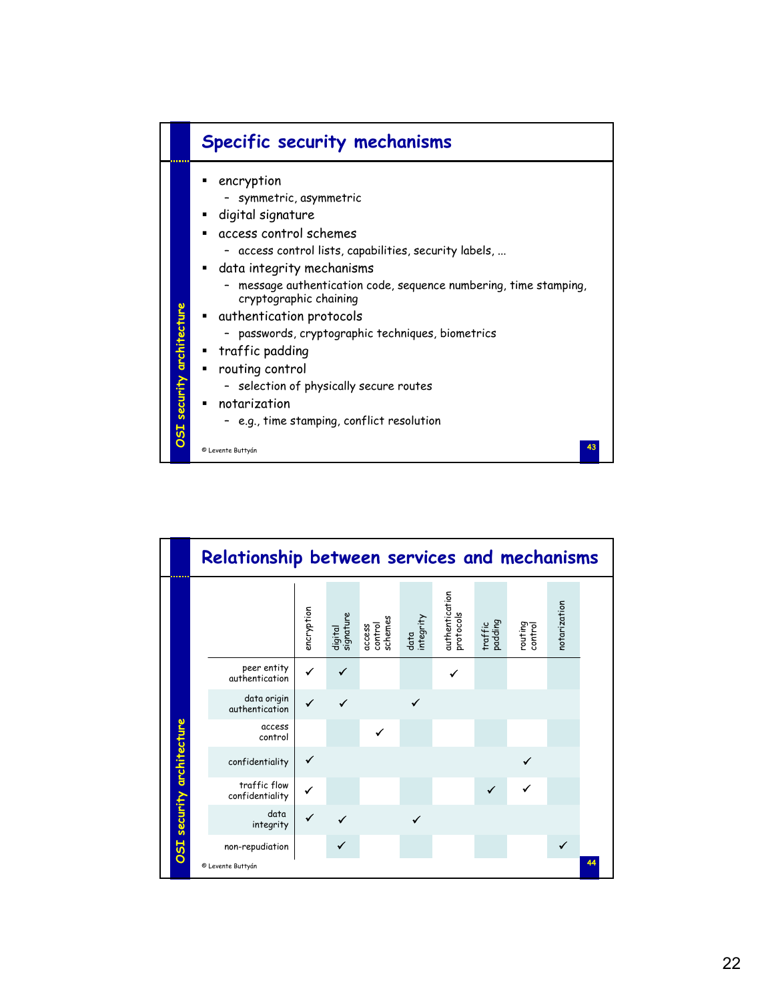

|                           | Relationship between services and mechanisms |            |                      |                              |                   |                             |                    |                    |              |    |
|---------------------------|----------------------------------------------|------------|----------------------|------------------------------|-------------------|-----------------------------|--------------------|--------------------|--------------|----|
|                           |                                              | encryption | digital<br>signature | control<br>schemes<br>access | data<br>integrity | authentication<br>protocols | traffic<br>padding | routing<br>control | notarization |    |
|                           | peer entity<br>authentication                | ✓          |                      |                              |                   |                             |                    |                    |              |    |
|                           | data origin<br>authentication                | ✔          |                      |                              |                   |                             |                    |                    |              |    |
|                           | access<br>control                            |            |                      | ✔                            |                   |                             |                    |                    |              |    |
|                           | confidentiality                              | ✔          |                      |                              |                   |                             |                    |                    |              |    |
|                           | traffic flow<br>confidentiality              | ✓          |                      |                              |                   |                             |                    | ✓                  |              |    |
| OSI security architecture | data<br>integrity                            | ✓          |                      |                              |                   |                             |                    |                    |              |    |
|                           | non-repudiation                              |            |                      |                              |                   |                             |                    |                    | ✔            |    |
|                           | © Levente Buttyán                            |            |                      |                              |                   |                             |                    |                    |              | 44 |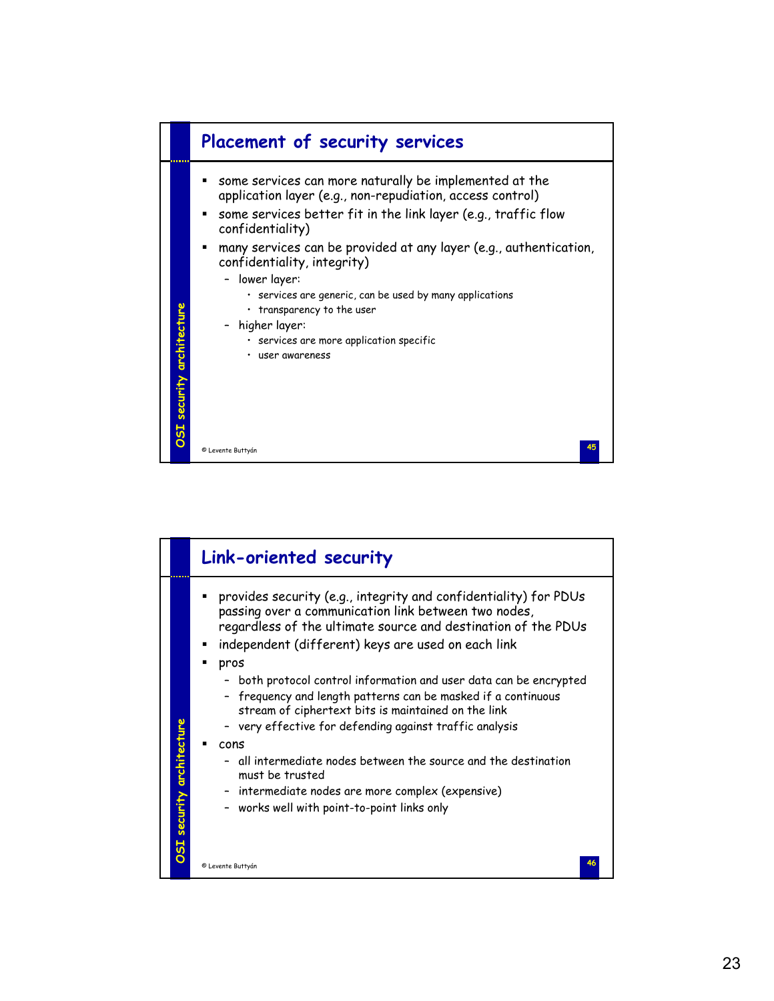

|                           | Link-oriented security                                                                                                                                                                                                                                                                                                                                                                                                                                                                                                                                                                                                                                                                                       |
|---------------------------|--------------------------------------------------------------------------------------------------------------------------------------------------------------------------------------------------------------------------------------------------------------------------------------------------------------------------------------------------------------------------------------------------------------------------------------------------------------------------------------------------------------------------------------------------------------------------------------------------------------------------------------------------------------------------------------------------------------|
| OSI security architecture | provides security (e.g., integrity and confidentiality) for PDUs<br>passing over a communication link between two nodes,<br>regardless of the ultimate source and destination of the PDUs<br>independent (different) keys are used on each link<br>pros<br>both protocol control information and user data can be encrypted<br>frequency and length patterns can be masked if a continuous<br>stream of ciphertext bits is maintained on the link<br>- very effective for defending against traffic analysis<br>cons<br>- all intermediate nodes between the source and the destination<br>must be trusted<br>- intermediate nodes are more complex (expensive)<br>works well with point-to-point links only |
|                           | © Levente Buttyán                                                                                                                                                                                                                                                                                                                                                                                                                                                                                                                                                                                                                                                                                            |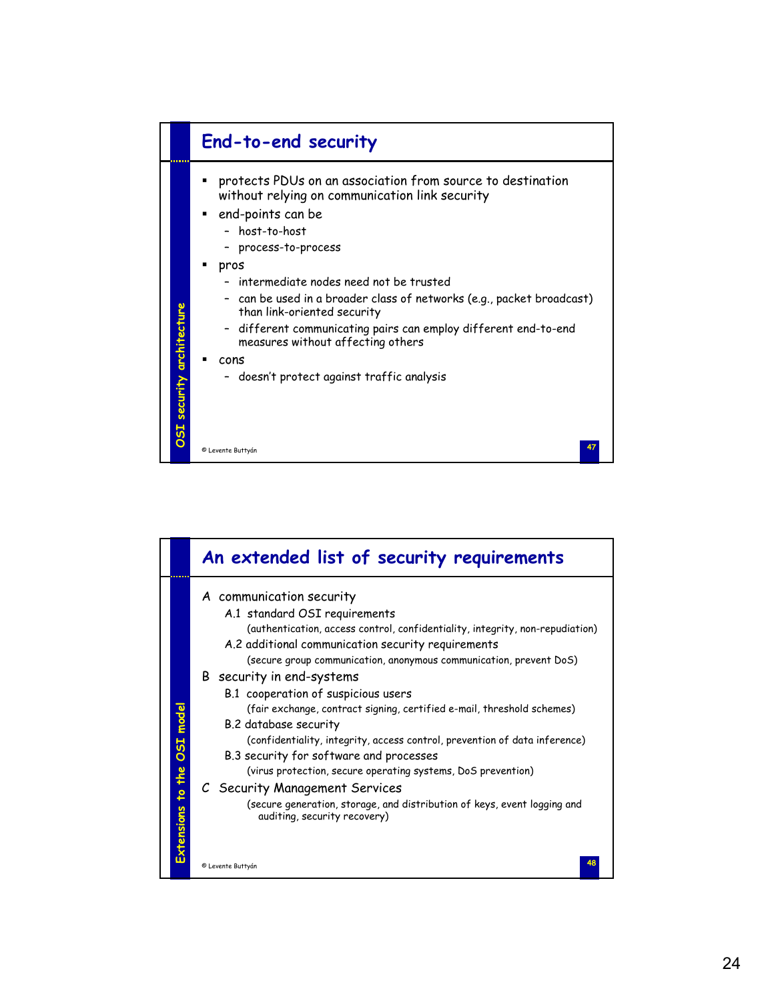

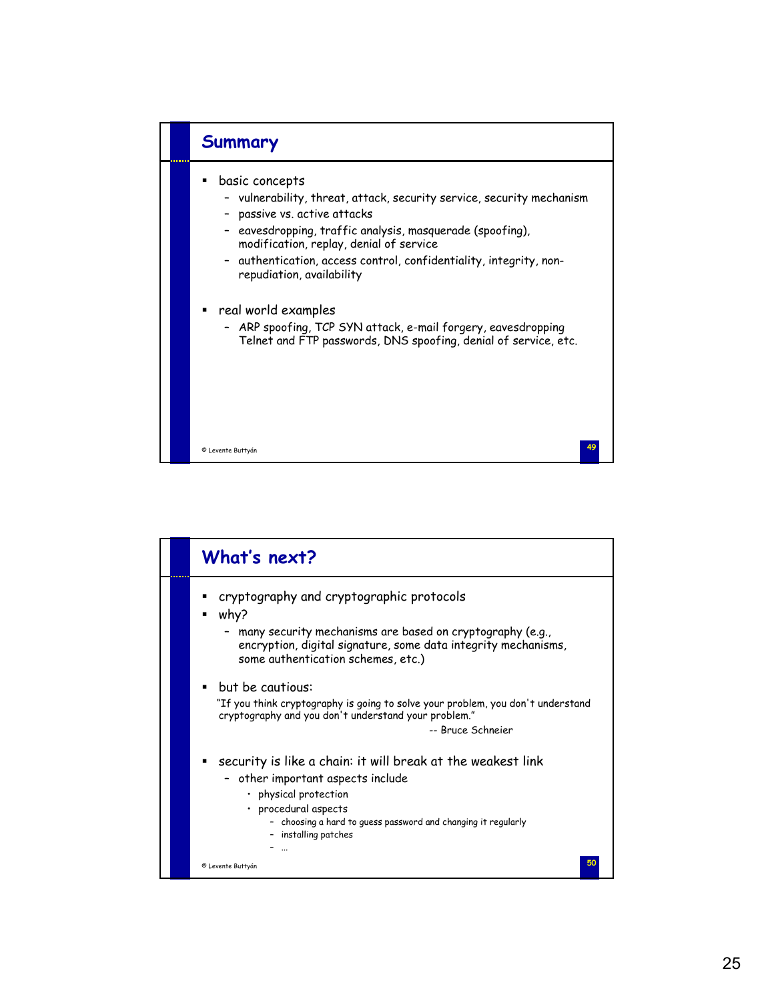

|  | What's next?                                                                                                                                                                                                                               |
|--|--------------------------------------------------------------------------------------------------------------------------------------------------------------------------------------------------------------------------------------------|
|  | cryptography and cryptographic protocols<br>why?<br>- many security mechanisms are based on cryptography (e.g.,<br>encryption, digital signature, some data integrity mechanisms,<br>some authentication schemes, etc.)                    |
|  | but be cautious:<br>"If you think cryptography is going to solve your problem, you don't understand<br>cryptography and you don't understand your problem."<br>-- Bruce Schneier                                                           |
|  | security is like a chain: it will break at the weakest link<br>- other important aspects include<br>• physical protection<br>· procedural aspects<br>- choosing a hard to guess password and changing it regularly<br>- installing patches |
|  | © Levente Buttyán                                                                                                                                                                                                                          |